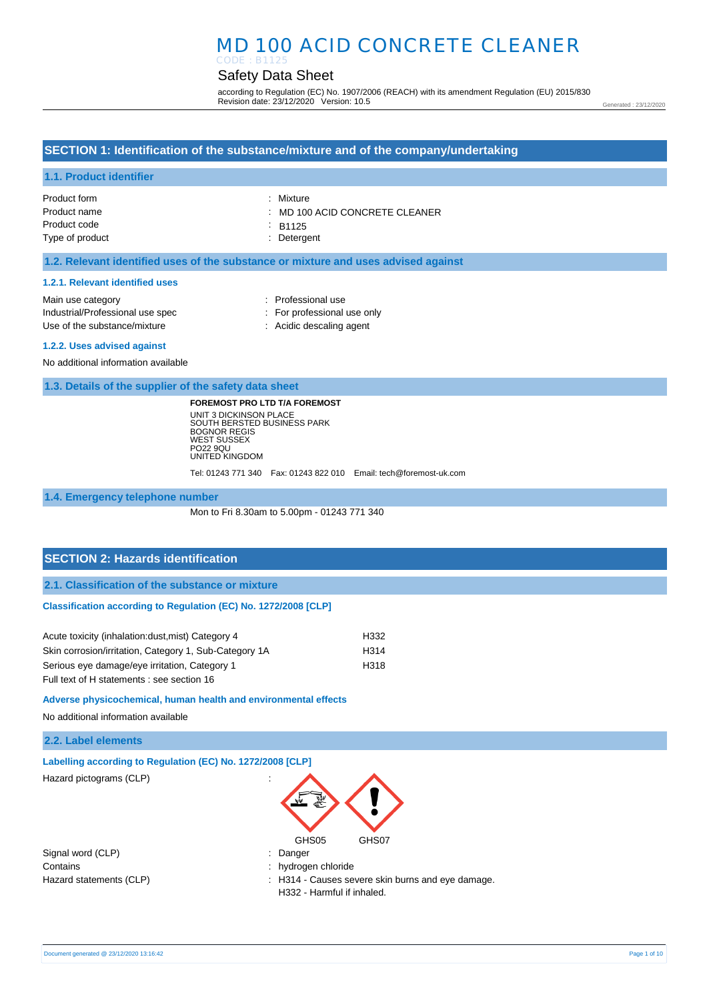# Safety Data Sheet

according to Regulation (EC) No. 1907/2006 (REACH) with its amendment Regulation (EU) 2015/830 Revision date: 23/12/2020 Version: 10.5

Generated : 23/12/2020

# **SECTION 1: Identification of the substance/mixture and of the company/undertaking**

### **1.1. Product identifier**

| Product form    | : Mixture                                 |
|-----------------|-------------------------------------------|
| Product name    | $\therefore$ MD 100 ACID CONCRETE CLEANER |
| Product code    | : R1125                                   |
| Type of product | : Detergent                               |

#### **1.2. Relevant identified uses of the substance or mixture and uses advised against**

#### **1.2.1. Relevant identified uses**

| Main use category                |
|----------------------------------|
| Industrial/Professional use spec |
| Use of the substance/mixture     |

- : Professional use : For professional use only
- : Acidic descaling agent

#### **1.2.2. Uses advised against**

No additional information available

**1.3. Details of the supplier of the safety data sheet**

**FOREMOST PRO LTD T/A FOREMOST** UNIT 3 DICKINSON PLACE SOUTH BERSTED BUSINESS PARK BOGNOR REGIS WEST SUSSEX PO22 9QU UNITED KINGDOM

Tel: 01243 771 340 Fax: 01243 822 010 Email: tech@foremost-uk.com

#### **1.4. Emergency telephone number**

Mon to Fri 8.30am to 5.00pm - 01243 771 340

### **SECTION 2: Hazards identification**

**2.1. Classification of the substance or mixture**

#### **Classification according to Regulation (EC) No. 1272/2008 [CLP]**

| Acute toxicity (inhalation: dust, mist) Category 4     | H332 |
|--------------------------------------------------------|------|
| Skin corrosion/irritation, Category 1, Sub-Category 1A | H314 |
| Serious eye damage/eye irritation, Category 1          | H318 |
| Full text of H statements : see section 16             |      |

**Adverse physicochemical, human health and environmental effects** 

No additional information available

### **2.2. Label elements**

|  | Labelling according to Regulation (EC) No. 1272/2008 [CLP] |  |  |  |
|--|------------------------------------------------------------|--|--|--|
|  |                                                            |  |  |  |

Hazard pictograms (CLP) :

Signal word (CLP) : Danger Contains : hydrogen chloride

GHS05 GHS07

- 
- Hazard statements (CLP)  $\qquad \qquad$ : H314 Causes severe skin burns and eye damage. H332 - Harmful if inhaled.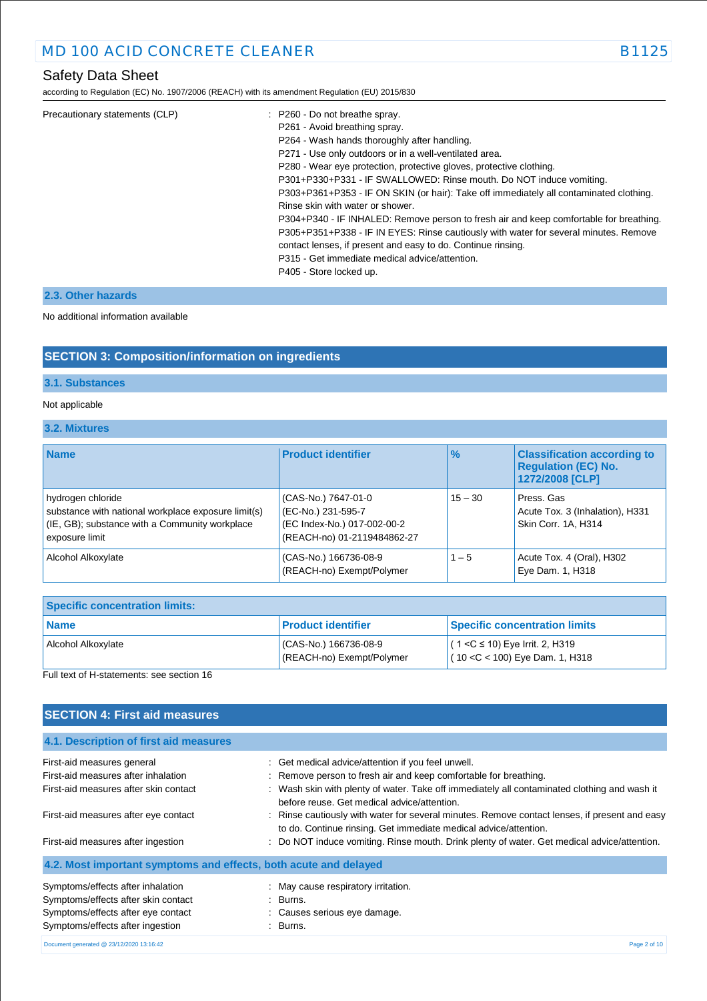according to Regulation (EC) No. 1907/2006 (REACH) with its amendment Regulation (EU) 2015/830

| P261 - Avoid breathing spray.<br>P264 - Wash hands thoroughly after handling.<br>P271 - Use only outdoors or in a well-ventilated area.<br>P280 - Wear eye protection, protective gloves, protective clothing.<br>P301+P330+P331 - IF SWALLOWED: Rinse mouth. Do NOT induce vomiting.<br>P303+P361+P353 - IF ON SKIN (or hair): Take off immediately all contaminated clothing.<br>Rinse skin with water or shower.<br>P304+P340 - IF INHALED: Remove person to fresh air and keep comfortable for breathing.<br>P305+P351+P338 - IF IN EYES: Rinse cautiously with water for several minutes. Remove<br>contact lenses, if present and easy to do. Continue rinsing.<br>P315 - Get immediate medical advice/attention.<br>P405 - Store locked up. |  |
|----------------------------------------------------------------------------------------------------------------------------------------------------------------------------------------------------------------------------------------------------------------------------------------------------------------------------------------------------------------------------------------------------------------------------------------------------------------------------------------------------------------------------------------------------------------------------------------------------------------------------------------------------------------------------------------------------------------------------------------------------|--|
|----------------------------------------------------------------------------------------------------------------------------------------------------------------------------------------------------------------------------------------------------------------------------------------------------------------------------------------------------------------------------------------------------------------------------------------------------------------------------------------------------------------------------------------------------------------------------------------------------------------------------------------------------------------------------------------------------------------------------------------------------|--|

### **2.3. Other hazards**

No additional information available

### **SECTION 3: Composition/information on ingredients**

### **3.1. Substances**

### Not applicable

**3.2. Mixtures**

| <b>Name</b>                                                                                                                                  | <b>Product identifier</b>                                                                               | $\frac{9}{6}$ | <b>Classification according to</b><br><b>Requlation (EC) No.</b><br>1272/2008 [CLP] |
|----------------------------------------------------------------------------------------------------------------------------------------------|---------------------------------------------------------------------------------------------------------|---------------|-------------------------------------------------------------------------------------|
| hydrogen chloride<br>substance with national workplace exposure limit(s)<br>(IE, GB); substance with a Community workplace<br>exposure limit | (CAS-No.) 7647-01-0<br>(EC-No.) 231-595-7<br>(EC Index-No.) 017-002-00-2<br>(REACH-no) 01-2119484862-27 | $15 - 30$     | Press, Gas<br>Acute Tox. 3 (Inhalation), H331<br>Skin Corr. 1A, H314                |
| Alcohol Alkoxylate                                                                                                                           | (CAS-No.) 166736-08-9<br>(REACH-no) Exempt/Polymer                                                      | $1 - 5$       | Acute Tox. 4 (Oral), H302<br>Eye Dam. 1, H318                                       |

| <b>Specific concentration limits:</b> |                                                   |                                                                        |
|---------------------------------------|---------------------------------------------------|------------------------------------------------------------------------|
| <b>Name</b>                           | <b>Product identifier</b>                         | <b>Specific concentration limits</b>                                   |
| Alcohol Alkoxylate                    | CAS-No.) 166736-08-9<br>(REACH-no) Exempt/Polymer | $(1 < C$ ≤ 10) Eye Irrit. 2, H319<br>$(10 < C < 100)$ Eye Dam. 1, H318 |

Full text of H-statements: see section 16

# **SECTION 4: First aid measures**

| 4.1. Description of first aid measures                           |                                                                                                                                                                   |
|------------------------------------------------------------------|-------------------------------------------------------------------------------------------------------------------------------------------------------------------|
| First-aid measures general                                       | : Get medical advice/attention if you feel unwell.                                                                                                                |
| First-aid measures after inhalation                              | : Remove person to fresh air and keep comfortable for breathing.                                                                                                  |
| First-aid measures after skin contact                            | : Wash skin with plenty of water. Take off immediately all contaminated clothing and wash it<br>before reuse. Get medical advice/attention.                       |
| First-aid measures after eye contact                             | : Rinse cautiously with water for several minutes. Remove contact lenses, if present and easy<br>to do. Continue rinsing. Get immediate medical advice/attention. |
| First-aid measures after ingestion                               | : Do NOT induce vomiting. Rinse mouth. Drink plenty of water. Get medical advice/attention.                                                                       |
| 4.2. Most important symptoms and effects, both acute and delayed |                                                                                                                                                                   |
| Symptoms/effects after inhalation                                | : May cause respiratory irritation.                                                                                                                               |
| Symptoms/effects after skin contact                              | $\therefore$ Burns.                                                                                                                                               |
| Symptoms/effects after eye contact                               | : Causes serious eye damage.                                                                                                                                      |
| Symptoms/effects after ingestion                                 | : Burns.                                                                                                                                                          |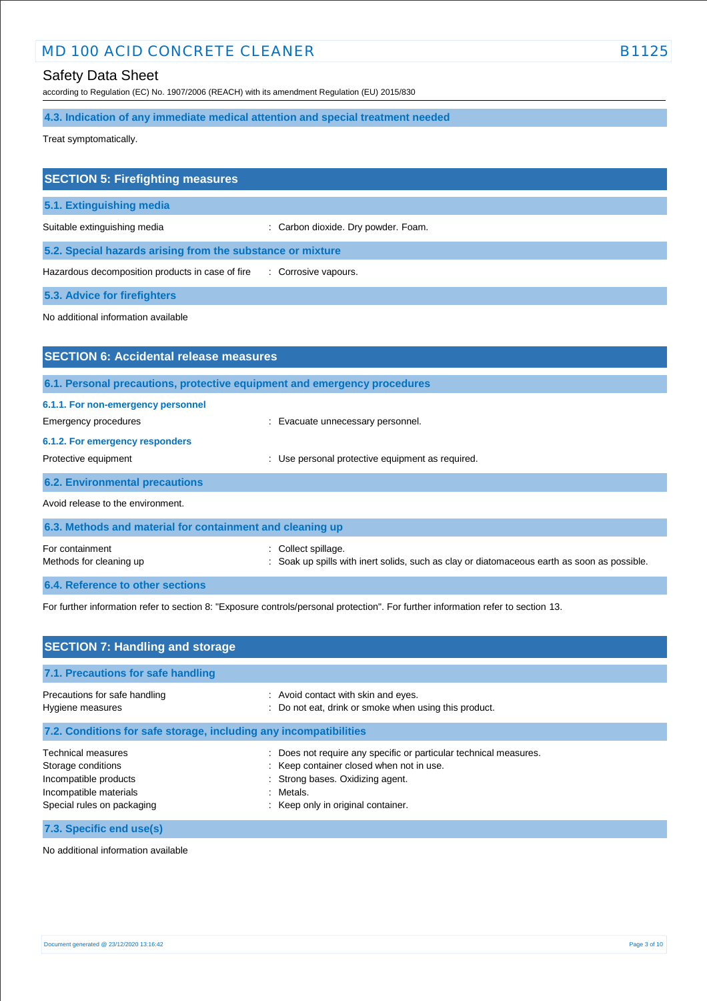# Safety Data Sheet

according to Regulation (EC) No. 1907/2006 (REACH) with its amendment Regulation (EU) 2015/830

**4.3. Indication of any immediate medical attention and special treatment needed**

Treat symptomatically.

| <b>SECTION 5: Firefighting measures</b>                    |                                     |
|------------------------------------------------------------|-------------------------------------|
| 5.1. Extinguishing media                                   |                                     |
| Suitable extinguishing media                               | : Carbon dioxide. Dry powder. Foam. |
| 5.2. Special hazards arising from the substance or mixture |                                     |
| Hazardous decomposition products in case of fire           | : Corrosive vapours.                |
| <b>5.3. Advice for firefighters</b>                        |                                     |

No additional information available

| <b>SECTION 6: Accidental release measures</b>                            |                                                                                                                  |
|--------------------------------------------------------------------------|------------------------------------------------------------------------------------------------------------------|
| 6.1. Personal precautions, protective equipment and emergency procedures |                                                                                                                  |
| 6.1.1. For non-emergency personnel<br>Emergency procedures               | : Evacuate unnecessary personnel.                                                                                |
| 6.1.2. For emergency responders<br>Protective equipment                  | Use personal protective equipment as required.                                                                   |
| <b>6.2. Environmental precautions</b>                                    |                                                                                                                  |
| Avoid release to the environment.                                        |                                                                                                                  |
| 6.3. Methods and material for containment and cleaning up                |                                                                                                                  |
| For containment<br>Methods for cleaning up                               | : Collect spillage.<br>Soak up spills with inert solids, such as clay or diatomaceous earth as soon as possible. |
| 6.4. Reference to other sections                                         |                                                                                                                  |

For further information refer to section 8: "Exposure controls/personal protection". For further information refer to section 13.

| <b>SECTION 7: Handling and storage</b>                                                                                    |                                                                                                                                                                                                  |  |
|---------------------------------------------------------------------------------------------------------------------------|--------------------------------------------------------------------------------------------------------------------------------------------------------------------------------------------------|--|
| 7.1. Precautions for safe handling                                                                                        |                                                                                                                                                                                                  |  |
| Precautions for safe handling<br>Hygiene measures                                                                         | : Avoid contact with skin and eyes.<br>: Do not eat, drink or smoke when using this product.                                                                                                     |  |
| 7.2. Conditions for safe storage, including any incompatibilities                                                         |                                                                                                                                                                                                  |  |
| Technical measures<br>Storage conditions<br>Incompatible products<br>Incompatible materials<br>Special rules on packaging | : Does not require any specific or particular technical measures.<br>: Keep container closed when not in use.<br>: Strong bases. Oxidizing agent.<br>Metals.<br>Keep only in original container. |  |
| 7.3. Specific end use(s)                                                                                                  |                                                                                                                                                                                                  |  |

No additional information available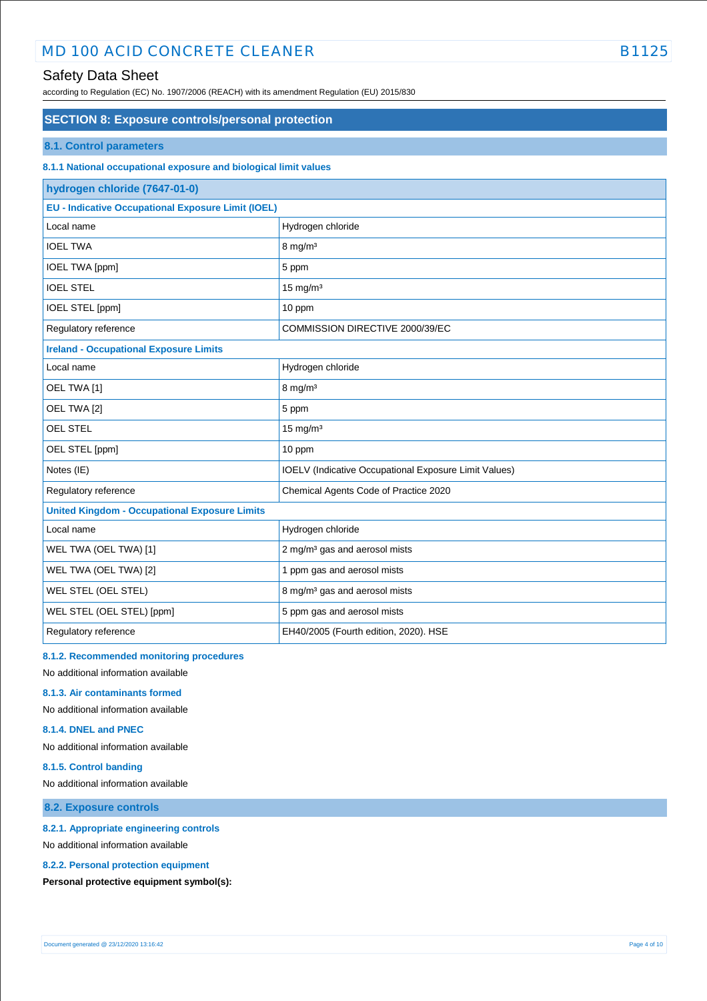# Safety Data Sheet

according to Regulation (EC) No. 1907/2006 (REACH) with its amendment Regulation (EU) 2015/830

### **SECTION 8: Exposure controls/personal protection**

#### **8.1. Control parameters**

### **8.1.1 National occupational exposure and biological limit values**

| hydrogen chloride (7647-01-0)                             |                                                       |  |
|-----------------------------------------------------------|-------------------------------------------------------|--|
| <b>EU - Indicative Occupational Exposure Limit (IOEL)</b> |                                                       |  |
| Local name                                                | Hydrogen chloride                                     |  |
| <b>IOEL TWA</b>                                           | $8$ mg/m <sup>3</sup>                                 |  |
| IOEL TWA [ppm]                                            | 5 ppm                                                 |  |
| <b>IOEL STEL</b>                                          | $15$ mg/m <sup>3</sup>                                |  |
| IOEL STEL [ppm]                                           | 10 ppm                                                |  |
| Regulatory reference                                      | COMMISSION DIRECTIVE 2000/39/EC                       |  |
| <b>Ireland - Occupational Exposure Limits</b>             |                                                       |  |
| Local name                                                | Hydrogen chloride                                     |  |
| OEL TWA [1]                                               | $8 \text{ mg/m}^3$                                    |  |
| OEL TWA [2]                                               | 5 ppm                                                 |  |
| OEL STEL                                                  | $15$ mg/m <sup>3</sup>                                |  |
| OEL STEL [ppm]                                            | 10 ppm                                                |  |
| Notes (IE)                                                | IOELV (Indicative Occupational Exposure Limit Values) |  |
| Regulatory reference                                      | Chemical Agents Code of Practice 2020                 |  |
| <b>United Kingdom - Occupational Exposure Limits</b>      |                                                       |  |
| Local name                                                | Hydrogen chloride                                     |  |
| WEL TWA (OEL TWA) [1]                                     | 2 mg/m <sup>3</sup> gas and aerosol mists             |  |
| WEL TWA (OEL TWA) [2]                                     | 1 ppm gas and aerosol mists                           |  |
| WEL STEL (OEL STEL)                                       | 8 mg/m <sup>3</sup> gas and aerosol mists             |  |
| WEL STEL (OEL STEL) [ppm]                                 | 5 ppm gas and aerosol mists                           |  |
| Regulatory reference                                      | EH40/2005 (Fourth edition, 2020). HSE                 |  |

#### **8.1.2. Recommended monitoring procedures**

No additional information available

#### **8.1.3. Air contaminants formed**

No additional information available

#### **8.1.4. DNEL and PNEC**

No additional information available

#### **8.1.5. Control banding**

No additional information available

#### **8.2. Exposure controls**

#### **8.2.1. Appropriate engineering controls**

No additional information available

#### **8.2.2. Personal protection equipment**

**Personal protective equipment symbol(s):**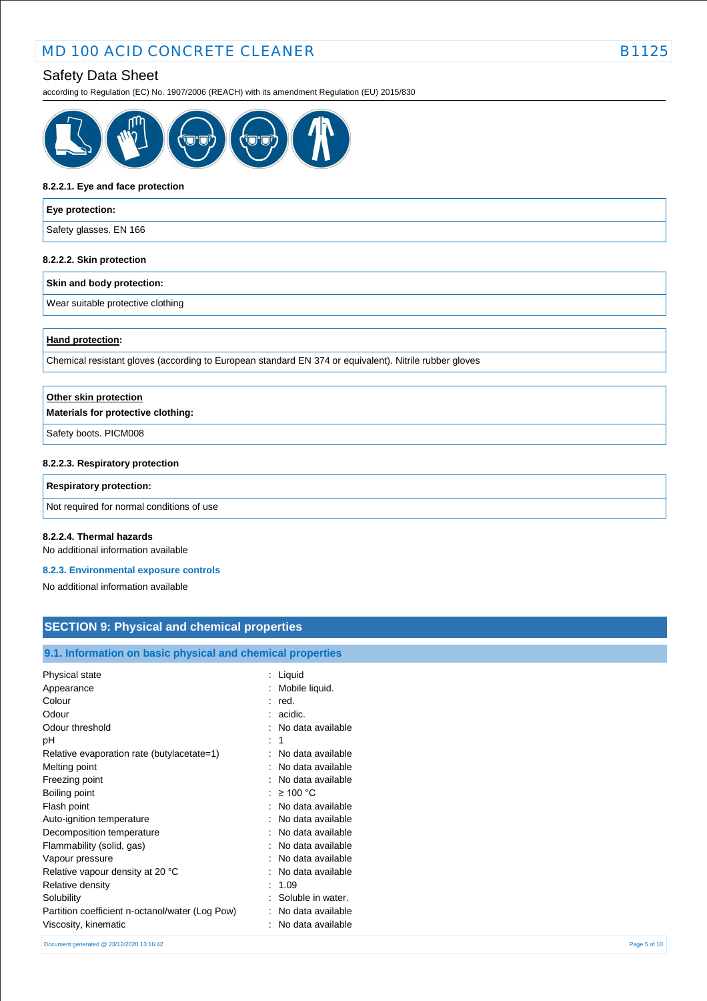according to Regulation (EC) No. 1907/2006 (REACH) with its amendment Regulation (EU) 2015/830



#### **8.2.2.1. Eye and face protection**

# **Eye protection:** Safety glasses. EN 166

#### **8.2.2.2. Skin protection**

#### **Skin and body protection:**

Wear suitable protective clothing

#### **Hand protection:**

Chemical resistant gloves (according to European standard EN 374 or equivalent). Nitrile rubber gloves

| Other skin protection              |
|------------------------------------|
| Materials for protective clothing: |
| Safety boots. PICM008              |
| 8.2.2.3. Respiratory protection    |
|                                    |

#### **Respiratory protection:**

Not required for normal conditions of use

#### **8.2.2.4. Thermal hazards**

No additional information available

#### **8.2.3. Environmental exposure controls**

No additional information available

# **SECTION 9: Physical and chemical properties**

### **9.1. Information on basic physical and chemical properties**

| Physical state<br>Liquid<br>Mobile liquid.<br>Appearance<br>Colour<br>red.<br>Odour<br>acidic.<br>Odour threshold<br>No data available |  |
|----------------------------------------------------------------------------------------------------------------------------------------|--|
|                                                                                                                                        |  |
|                                                                                                                                        |  |
|                                                                                                                                        |  |
|                                                                                                                                        |  |
|                                                                                                                                        |  |
| 1<br>рH                                                                                                                                |  |
| No data available<br>Relative evaporation rate (butylacetate=1)                                                                        |  |
| No data available<br>Melting point                                                                                                     |  |
| Freezing point<br>No data available                                                                                                    |  |
| $\geq 100$ °C<br>Boiling point                                                                                                         |  |
| No data available<br>Flash point                                                                                                       |  |
| No data available<br>Auto-ignition temperature                                                                                         |  |
| Decomposition temperature<br>No data available                                                                                         |  |
| Flammability (solid, gas)<br>No data available                                                                                         |  |
| No data available<br>Vapour pressure                                                                                                   |  |
| No data available<br>Relative vapour density at 20 °C                                                                                  |  |
| 1.09<br>Relative density                                                                                                               |  |
| Soluble in water.<br>Solubility                                                                                                        |  |
| Partition coefficient n-octanol/water (Log Pow)<br>No data available                                                                   |  |
| Viscosity, kinematic<br>No data available                                                                                              |  |

Document generated @ 23/12/2020 13:16:42 Page 5 of 10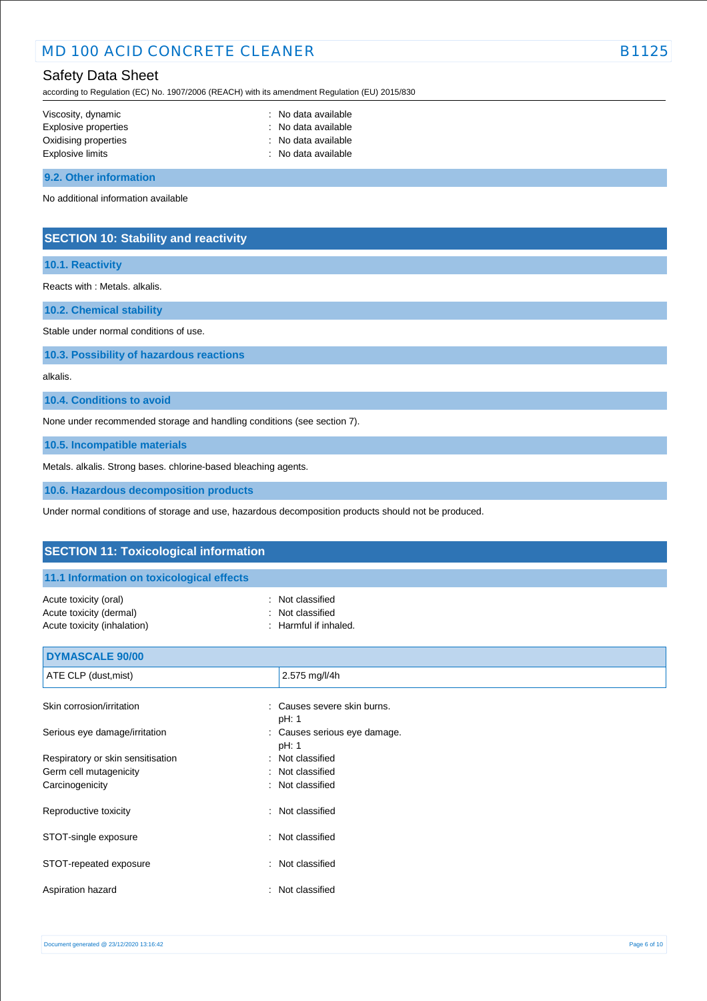# Safety Data Sheet

according to Regulation (EC) No. 1907/2006 (REACH) with its amendment Regulation (EU) 2015/830

| Viscosity, dynamic   | : No data available |
|----------------------|---------------------|
| Explosive properties | : No data available |
| Oxidising properties | : No data available |
| Explosive limits     | : No data available |
|                      |                     |

**9.2. Other information**

No additional information available

### **SECTION 10: Stability and reactivity**

### **10.1. Reactivity**

Reacts with : Metals. alkalis.

**10.2. Chemical stability**

Stable under normal conditions of use.

**10.3. Possibility of hazardous reactions**

alkalis.

**10.4. Conditions to avoid**

None under recommended storage and handling conditions (see section 7).

**10.5. Incompatible materials**

Metals. alkalis. Strong bases. chlorine-based bleaching agents.

**10.6. Hazardous decomposition products**

Under normal conditions of storage and use, hazardous decomposition products should not be produced.

| <b>SECTION 11: Toxicological information</b>              |  |  |
|-----------------------------------------------------------|--|--|
|                                                           |  |  |
| Not classified<br>Not classified<br>: Harmful if inhaled. |  |  |
|                                                           |  |  |
| 2.575 mg/l/4h                                             |  |  |
| Causes severe skin burns.<br>pH: 1                        |  |  |
| Causes serious eye damage.<br>pH: 1                       |  |  |
| : Not classified                                          |  |  |
| Not classified<br>: Not classified                        |  |  |
| Not classified<br>÷                                       |  |  |
| : Not classified                                          |  |  |
| Not classified<br>÷                                       |  |  |
| Not classified                                            |  |  |
|                                                           |  |  |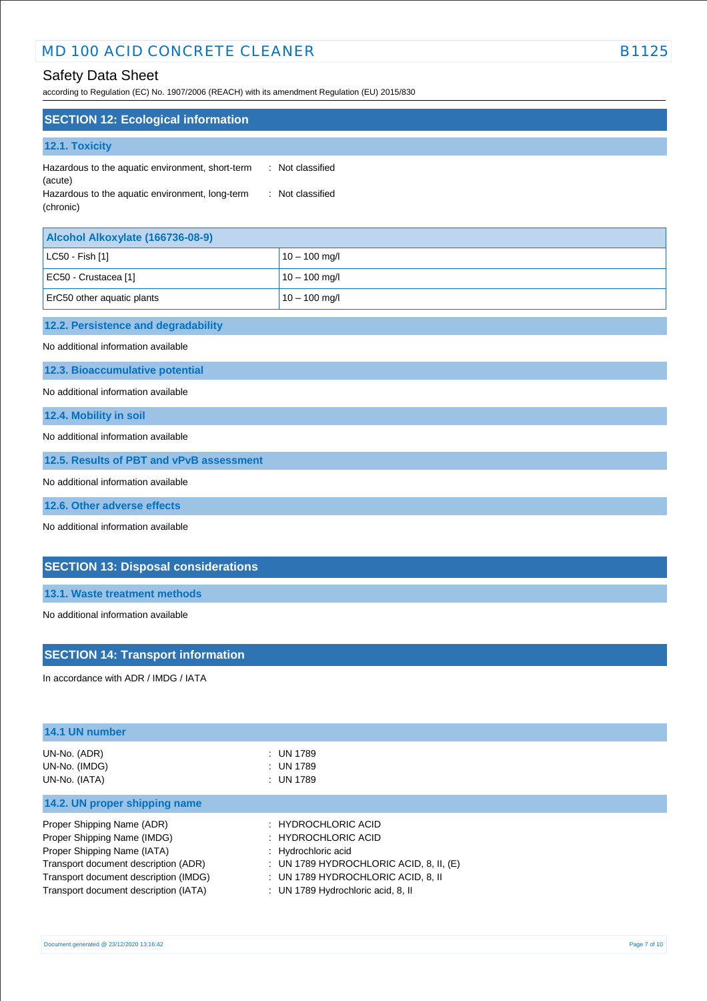# Safety Data Sheet

according to Regulation (EC) No. 1907/2006 (REACH) with its amendment Regulation (EU) 2015/830

| <b>SECTION 12: Ecological information</b>        |                |
|--------------------------------------------------|----------------|
| 12.1. Toxicity                                   |                |
| Hazardous to the aquatic environment, short-term | Not classified |
| (acute)                                          | $\mathbb{R}^n$ |
| Hazardous to the aquatic environment, long-term  | Not classified |
| (chronic)                                        | $\sim$         |

| Alcohol Alkoxylate (166736-08-9) |                 |
|----------------------------------|-----------------|
| $ $ LC50 - Fish [1]              | $10 - 100$ mg/l |
| EC50 - Crustacea [1]             | $10 - 100$ mg/l |
| ErC50 other aquatic plants       | $10 - 100$ mg/l |

# **12.2. Persistence and degradability**

No additional information available

**12.3. Bioaccumulative potential**

No additional information available

**12.4. Mobility in soil**

No additional information available

**12.5. Results of PBT and vPvB assessment**

No additional information available

**12.6. Other adverse effects**

No additional information available

### **SECTION 13: Disposal considerations**

**13.1. Waste treatment methods**

No additional information available

### **SECTION 14: Transport information**

In accordance with ADR / IMDG / IATA

| 14.1 UN number                        |                                           |
|---------------------------------------|-------------------------------------------|
| UN-No. (ADR)                          | : UN 1789                                 |
| UN-No. (IMDG)                         | : UN 1789                                 |
| UN-No. (IATA)                         | : UN 1789                                 |
| 14.2. UN proper shipping name         |                                           |
| Proper Shipping Name (ADR)            | : HYDROCHLORIC ACID                       |
| Proper Shipping Name (IMDG)           | : HYDROCHLORIC ACID                       |
| Proper Shipping Name (IATA)           | : Hydrochloric acid                       |
| Transport document description (ADR)  | : UN 1789 HYDROCHLORIC ACID, 8, II, $(E)$ |
| Transport document description (IMDG) | : UN 1789 HYDROCHLORIC ACID. 8. II        |
| Transport document description (IATA) | : UN 1789 Hydrochloric acid, 8, II        |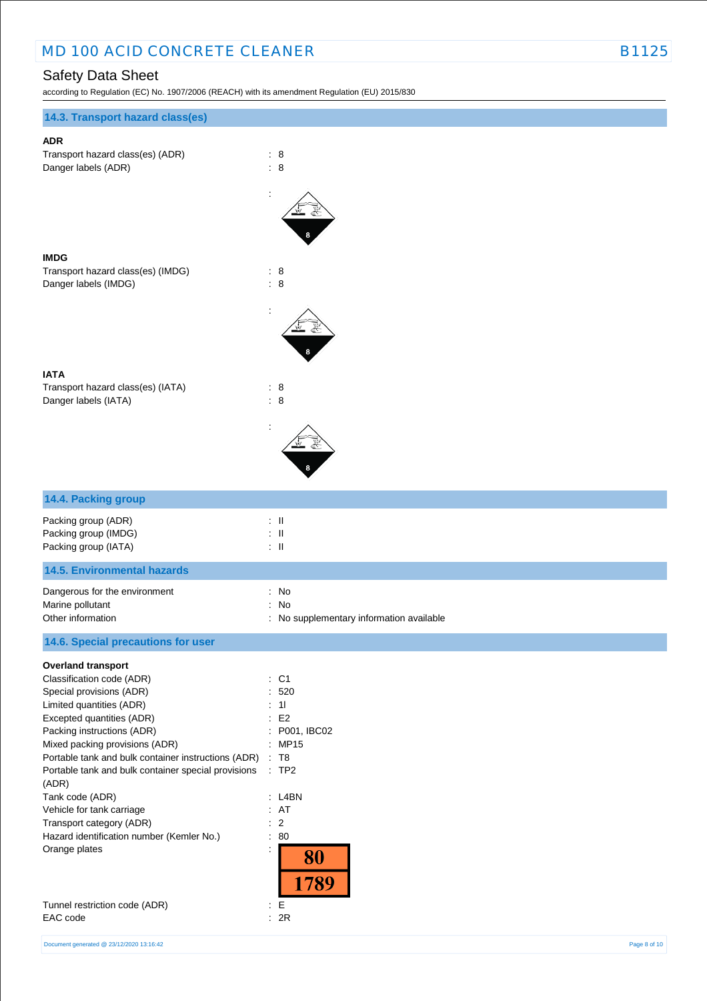according to Regulation (EC) No. 1907/2006 (REACH) with its amendment Regulation (EU) 2015/830

| 14.3. Transport hazard class(es)                                                                                                                                                                                                                                                                                                                                                                                                                                             |                                                                                                                                                                       |
|------------------------------------------------------------------------------------------------------------------------------------------------------------------------------------------------------------------------------------------------------------------------------------------------------------------------------------------------------------------------------------------------------------------------------------------------------------------------------|-----------------------------------------------------------------------------------------------------------------------------------------------------------------------|
|                                                                                                                                                                                                                                                                                                                                                                                                                                                                              |                                                                                                                                                                       |
| <b>ADR</b><br>Transport hazard class(es) (ADR)<br>Danger labels (ADR)                                                                                                                                                                                                                                                                                                                                                                                                        | : 8<br>$\therefore$ 8                                                                                                                                                 |
|                                                                                                                                                                                                                                                                                                                                                                                                                                                                              |                                                                                                                                                                       |
| <b>IMDG</b><br>Transport hazard class(es) (IMDG)<br>Danger labels (IMDG)                                                                                                                                                                                                                                                                                                                                                                                                     | $\therefore$ 8<br>$\therefore$ 8                                                                                                                                      |
|                                                                                                                                                                                                                                                                                                                                                                                                                                                                              |                                                                                                                                                                       |
| <b>IATA</b><br>Transport hazard class(es) (IATA)<br>Danger labels (IATA)                                                                                                                                                                                                                                                                                                                                                                                                     | : 8<br>: 8                                                                                                                                                            |
|                                                                                                                                                                                                                                                                                                                                                                                                                                                                              |                                                                                                                                                                       |
| 14.4. Packing group                                                                                                                                                                                                                                                                                                                                                                                                                                                          |                                                                                                                                                                       |
| Packing group (ADR)<br>Packing group (IMDG)<br>Packing group (IATA)                                                                                                                                                                                                                                                                                                                                                                                                          | $\therefore$ $\parallel$<br>$:$ $\mathsf{II}$<br>$:$ $\mathsf{II}$                                                                                                    |
| <b>14.5. Environmental hazards</b>                                                                                                                                                                                                                                                                                                                                                                                                                                           |                                                                                                                                                                       |
| Dangerous for the environment<br>Marine pollutant<br>Other information                                                                                                                                                                                                                                                                                                                                                                                                       | : No<br>: No<br>: No supplementary information available                                                                                                              |
| 14.6. Special precautions for user                                                                                                                                                                                                                                                                                                                                                                                                                                           |                                                                                                                                                                       |
| <b>Overland transport</b><br>Classification code (ADR)<br>Special provisions (ADR)<br>Limited quantities (ADR)<br>Excepted quantities (ADR)<br>Packing instructions (ADR)<br>Mixed packing provisions (ADR)<br>Portable tank and bulk container instructions (ADR)<br>Portable tank and bulk container special provisions<br>(ADR)<br>Tank code (ADR)<br>Vehicle for tank carriage<br>Transport category (ADR)<br>Hazard identification number (Kemler No.)<br>Orange plates | : C1<br>520<br>÷.<br>: 11<br>E2<br>P001, IBC02<br>$\ddot{\cdot}$<br>: MP15<br>$\therefore$ T8<br>:TP2<br>: L4BN<br>: AT<br>: 2<br>: 80<br>$\ddot{\cdot}$<br>80<br>789 |
| Tunnel restriction code (ADR)<br>EAC code                                                                                                                                                                                                                                                                                                                                                                                                                                    | $\div$ E<br>: 2R                                                                                                                                                      |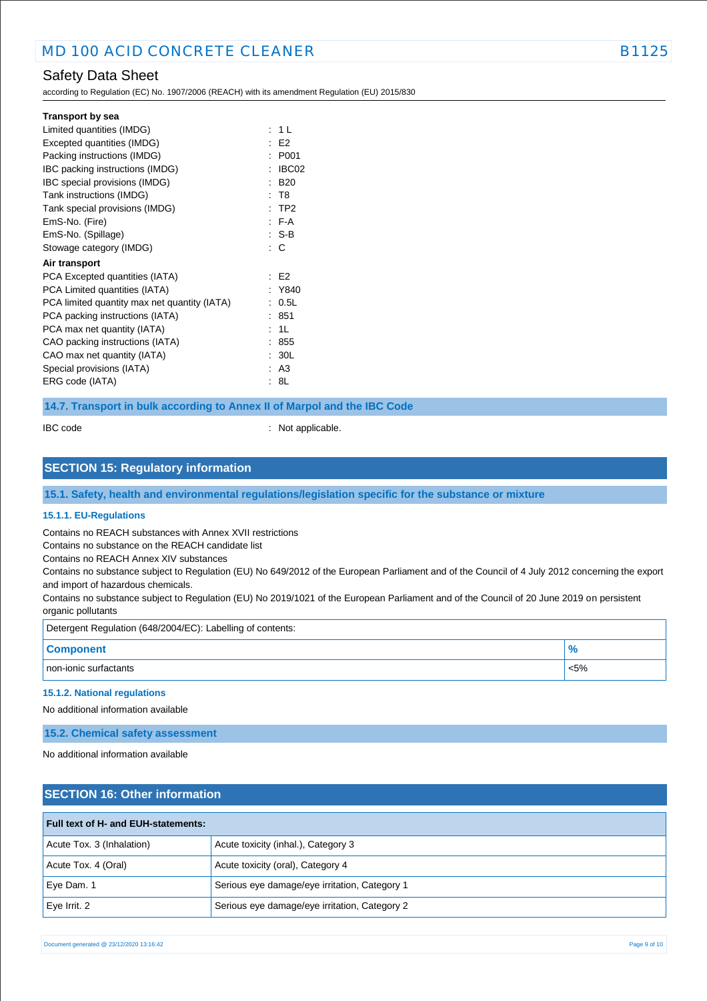according to Regulation (EC) No. 1907/2006 (REACH) with its amendment Regulation (EU) 2015/830

| <b>Transport by sea</b>                      |        |                |
|----------------------------------------------|--------|----------------|
| Limited quantities (IMDG)                    |        | : 1 L          |
| Excepted quantities (IMDG)                   |        | E2             |
| Packing instructions (IMDG)                  | ٠      | P001           |
| IBC packing instructions (IMDG)              |        | IBC02          |
| IBC special provisions (IMDG)                |        | <b>B20</b>     |
| Tank instructions (IMDG)                     |        | : T8           |
| Tank special provisions (IMDG)               |        | $:$ TP2        |
| EmS-No. (Fire)                               |        | $F-A$          |
| EmS-No. (Spillage)                           |        | : S-B          |
| Stowage category (IMDG)                      |        | $\therefore$ C |
| Air transport                                |        |                |
| PCA Excepted quantities (IATA)               |        | E2             |
| PCA Limited quantities (IATA)                |        | Y840           |
| PCA limited quantity max net quantity (IATA) | $\sim$ | 0.5L           |
| PCA packing instructions (IATA)              |        | 851            |
| PCA max net quantity (IATA)                  |        | : 1L           |
| CAO packing instructions (IATA)              |        | .855           |
| CAO max net quantity (IATA)                  |        | : 30L          |
| Special provisions (IATA)                    |        | : A3           |
| ERG code (IATA)                              |        | : 8L           |

**14.7. Transport in bulk according to Annex II of Marpol and the IBC Code**

IBC code : Not applicable.

## **SECTION 15: Regulatory information**

**15.1. Safety, health and environmental regulations/legislation specific for the substance or mixture**

#### **15.1.1. EU-Regulations**

Contains no REACH substances with Annex XVII restrictions

Contains no substance on the REACH candidate list

Contains no REACH Annex XIV substances

Contains no substance subject to Regulation (EU) No 649/2012 of the European Parliament and of the Council of 4 July 2012 concerning the export and import of hazardous chemicals.

Contains no substance subject to Regulation (EU) No 2019/1021 of the European Parliament and of the Council of 20 June 2019 on persistent organic pollutants

| Detergent Regulation (648/2004/EC): Labelling of contents: |         |  |
|------------------------------------------------------------|---------|--|
| <b>Component</b>                                           |         |  |
| non-ionic surfactants                                      | $< 5\%$ |  |

#### **15.1.2. National regulations**

No additional information available

#### **15.2. Chemical safety assessment**

No additional information available

# **SECTION 16: Other information**

| <b>Full text of H- and EUH-statements:</b> |                                               |
|--------------------------------------------|-----------------------------------------------|
| Acute Tox. 3 (Inhalation)                  | Acute toxicity (inhal.), Category 3           |
| Acute Tox. 4 (Oral)                        | Acute toxicity (oral), Category 4             |
| Eye Dam. 1                                 | Serious eye damage/eye irritation, Category 1 |
| $Eve$ Irrit. 2                             | Serious eye damage/eye irritation, Category 2 |